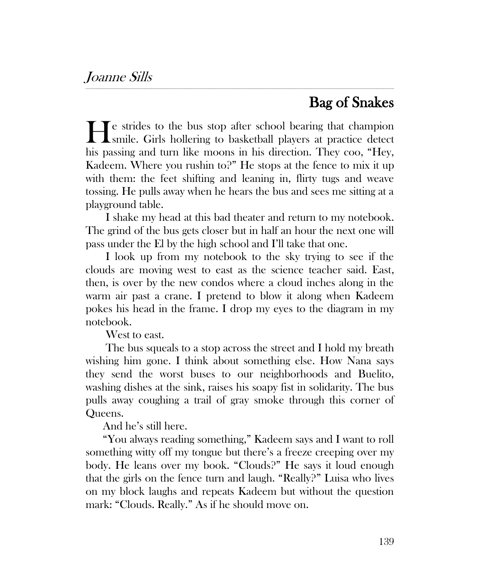## Bag of Snakes

e strides to the bus stop after school bearing that champion He strides to the bus stop after school bearing that champion smile. Girls hollering to basketball players at practice detect his passing and turn like moons in his direction. They coo, "Hey, Kadeem. Where you rushin to?" He stops at the fence to mix it up with them: the feet shifting and leaning in, flirty tugs and weave tossing. He pulls away when he hears the bus and sees me sitting at a playground table.

*\_\_\_\_\_\_\_\_\_\_\_\_\_\_\_\_\_\_\_\_\_\_\_\_\_\_\_\_\_\_\_\_\_\_\_\_\_\_\_\_\_\_\_\_\_\_\_\_\_\_\_\_\_\_\_\_\_\_\_\_\_\_\_\_\_\_\_\_\_\_\_\_\_\_\_\_\_\_\_\_\_\_\_\_\_\_\_\_\_\_\_\_\_\_\_\_\_\_\_\_\_\_\_\_\_\_\_\_\_\_\_\_\_\_\_\_\_\_\_\_\_\_\_\_\_\_\_\_\_\_\_\_\_\_\_\_\_\_\_\_\_\_\_\_\_\_\_\_\_\_\_\_\_\_\_\_\_\_\_\_\_\_*

I shake my head at this bad theater and return to my notebook. The grind of the bus gets closer but in half an hour the next one will pass under the El by the high school and I'll take that one.

I look up from my notebook to the sky trying to see if the clouds are moving west to east as the science teacher said. East, then, is over by the new condos where a cloud inches along in the warm air past a crane. I pretend to blow it along when Kadeem pokes his head in the frame. I drop my eyes to the diagram in my notebook.

West to east.

The bus squeals to a stop across the street and I hold my breath wishing him gone. I think about something else. How Nana says they send the worst buses to our neighborhoods and Buelito, washing dishes at the sink, raises his soapy fist in solidarity. The bus pulls away coughing a trail of gray smoke through this corner of Queens.

And he's still here.

"You always reading something," Kadeem says and I want to roll something witty off my tongue but there's a freeze creeping over my body. He leans over my book. "Clouds?" He says it loud enough that the girls on the fence turn and laugh. "Really?" Luisa who lives on my block laughs and repeats Kadeem but without the question mark: "Clouds. Really." As if he should move on.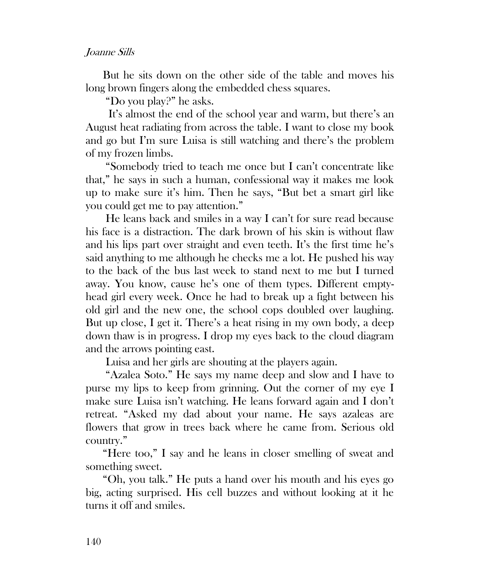## Joanne Sills

But he sits down on the other side of the table and moves his long brown fingers along the embedded chess squares.

"Do you play?" he asks.

 It's almost the end of the school year and warm, but there's an August heat radiating from across the table. I want to close my book and go but I'm sure Luisa is still watching and there's the problem of my frozen limbs.

"Somebody tried to teach me once but I can't concentrate like that," he says in such a human, confessional way it makes me look up to make sure it's him. Then he says, "But bet a smart girl like you could get me to pay attention."

He leans back and smiles in a way I can't for sure read because his face is a distraction. The dark brown of his skin is without flaw and his lips part over straight and even teeth. It's the first time he's said anything to me although he checks me a lot. He pushed his way to the back of the bus last week to stand next to me but I turned away. You know, cause he's one of them types. Different emptyhead girl every week. Once he had to break up a fight between his old girl and the new one, the school cops doubled over laughing. But up close, I get it. There's a heat rising in my own body, a deep down thaw is in progress. I drop my eyes back to the cloud diagram and the arrows pointing east.

Luisa and her girls are shouting at the players again.

"Azalea Soto." He says my name deep and slow and I have to purse my lips to keep from grinning. Out the corner of my eye I make sure Luisa isn't watching. He leans forward again and I don't retreat. "Asked my dad about your name. He says azaleas are flowers that grow in trees back where he came from. Serious old country."

"Here too," I say and he leans in closer smelling of sweat and something sweet.

"Oh, you talk." He puts a hand over his mouth and his eyes go big, acting surprised. His cell buzzes and without looking at it he turns it off and smiles.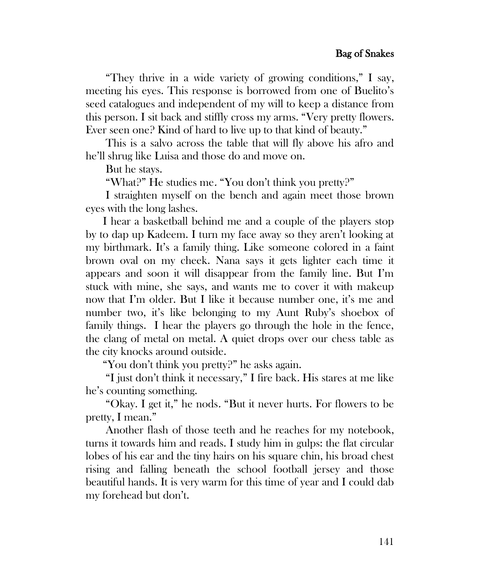"They thrive in a wide variety of growing conditions," I say, meeting his eyes. This response is borrowed from one of Buelito's seed catalogues and independent of my will to keep a distance from this person. I sit back and stiffly cross my arms. "Very pretty flowers. Ever seen one? Kind of hard to live up to that kind of beauty."

This is a salvo across the table that will fly above his afro and he'll shrug like Luisa and those do and move on.

But he stays.

"What?" He studies me. "You don't think you pretty?"

I straighten myself on the bench and again meet those brown eyes with the long lashes.

I hear a basketball behind me and a couple of the players stop by to dap up Kadeem. I turn my face away so they aren't looking at my birthmark. It's a family thing. Like someone colored in a faint brown oval on my cheek. Nana says it gets lighter each time it appears and soon it will disappear from the family line. But I'm stuck with mine, she says, and wants me to cover it with makeup now that I'm older. But I like it because number one, it's me and number two, it's like belonging to my Aunt Ruby's shoebox of family things. I hear the players go through the hole in the fence, the clang of metal on metal. A quiet drops over our chess table as the city knocks around outside.

"You don't think you pretty?" he asks again.

"I just don't think it necessary," I fire back. His stares at me like he's counting something.

"Okay. I get it," he nods. "But it never hurts. For flowers to be pretty, I mean."

Another flash of those teeth and he reaches for my notebook, turns it towards him and reads. I study him in gulps: the flat circular lobes of his ear and the tiny hairs on his square chin, his broad chest rising and falling beneath the school football jersey and those beautiful hands. It is very warm for this time of year and I could dab my forehead but don't.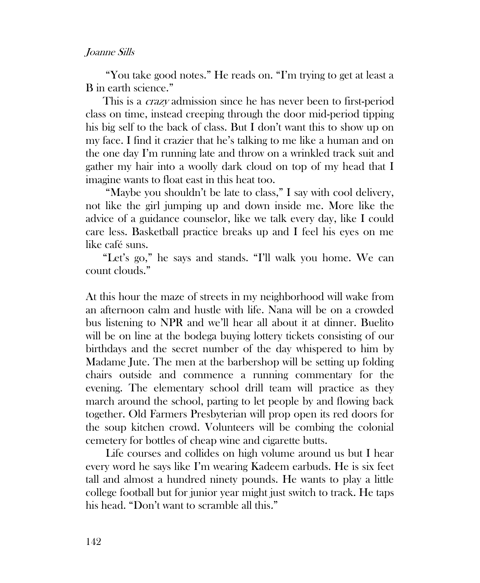## Joanne Sills

"You take good notes." He reads on. "I'm trying to get at least a B in earth science."

This is a *crazy* admission since he has never been to first-period class on time, instead creeping through the door mid-period tipping his big self to the back of class. But I don't want this to show up on my face. I find it crazier that he's talking to me like a human and on the one day I'm running late and throw on a wrinkled track suit and gather my hair into a woolly dark cloud on top of my head that I imagine wants to float east in this heat too.

"Maybe you shouldn't be late to class," I say with cool delivery, not like the girl jumping up and down inside me. More like the advice of a guidance counselor, like we talk every day, like I could care less. Basketball practice breaks up and I feel his eyes on me like café suns.

"Let's go," he says and stands. "I'll walk you home. We can count clouds."

At this hour the maze of streets in my neighborhood will wake from an afternoon calm and hustle with life. Nana will be on a crowded bus listening to NPR and we'll hear all about it at dinner. Buelito will be on line at the bodega buying lottery tickets consisting of our birthdays and the secret number of the day whispered to him by Madame Jute. The men at the barbershop will be setting up folding chairs outside and commence a running commentary for the evening. The elementary school drill team will practice as they march around the school, parting to let people by and flowing back together. Old Farmers Presbyterian will prop open its red doors for the soup kitchen crowd. Volunteers will be combing the colonial cemetery for bottles of cheap wine and cigarette butts.

Life courses and collides on high volume around us but I hear every word he says like I'm wearing Kadeem earbuds. He is six feet tall and almost a hundred ninety pounds. He wants to play a little college football but for junior year might just switch to track. He taps his head. "Don't want to scramble all this."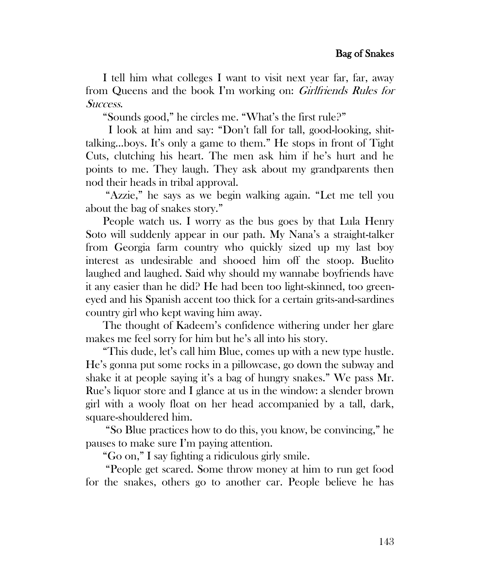I tell him what colleges I want to visit next year far, far, away from Queens and the book I'm working on: Girlfriends Rules for Success.

"Sounds good," he circles me. "What's the first rule?"

 I look at him and say: "Don't fall for tall, good-looking, shittalking…boys. It's only a game to them." He stops in front of Tight Cuts, clutching his heart. The men ask him if he's hurt and he points to me. They laugh. They ask about my grandparents then nod their heads in tribal approval.

"Azzie," he says as we begin walking again. "Let me tell you about the bag of snakes story."

People watch us. I worry as the bus goes by that Lula Henry Soto will suddenly appear in our path. My Nana's a straight-talker from Georgia farm country who quickly sized up my last boy interest as undesirable and shooed him off the stoop. Buelito laughed and laughed. Said why should my wannabe boyfriends have it any easier than he did? He had been too light-skinned, too greeneyed and his Spanish accent too thick for a certain grits-and-sardines country girl who kept waving him away.

The thought of Kadeem's confidence withering under her glare makes me feel sorry for him but he's all into his story.

"This dude, let's call him Blue, comes up with a new type hustle. He's gonna put some rocks in a pillowcase, go down the subway and shake it at people saying it's a bag of hungry snakes." We pass Mr. Rue's liquor store and I glance at us in the window: a slender brown girl with a wooly float on her head accompanied by a tall, dark, square-shouldered him.

"So Blue practices how to do this, you know, be convincing," he pauses to make sure I'm paying attention.

"Go on," I say fighting a ridiculous girly smile.

"People get scared. Some throw money at him to run get food for the snakes, others go to another car. People believe he has